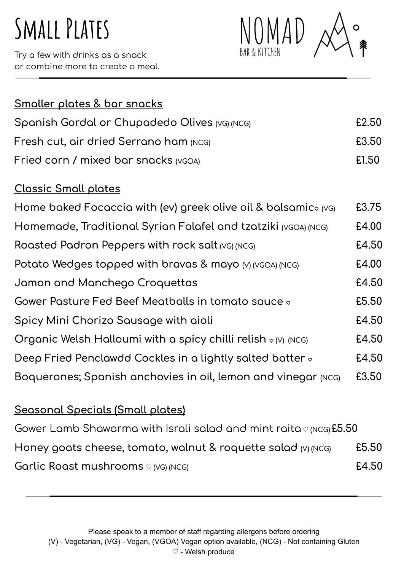# **Small Plates**

Try a few with drinks as a snack or combine more to create a meal.



| <u>Smaller plates &amp; bar snacks</u>                                                       |       |
|----------------------------------------------------------------------------------------------|-------|
| Spanish Gordal or Chupadedo Olives (VG) (NCG)                                                | £2.50 |
| Fresh cut, air dried Serrano ham (NCG)                                                       | £3.50 |
| Fried corn / mixed bar snacks (VGOA)                                                         | £1.50 |
| <b>Classic Small plates</b>                                                                  |       |
| Home baked Focaccia with (ev) greek olive oil & balsamic <sub><math>\infty</math> (VG)</sub> | £3.75 |
| Homemade, Traditional Syrian Falafel and tzatziki (VGOA) (NCG)                               | £4.00 |
| Roasted Padron Peppers with rock salt (VG) (NCG)                                             | £4.50 |
| Potato Wedges topped with bravas & mayo (V) (VGOA) (NCG)                                     | £4.00 |
| Jamon and Manchego Croquettas                                                                | £4.50 |
| Gower Pasture Fed Beef Meatballs in tomato sauce $\circ$                                     | £5.50 |
| Spicy Mini Chorizo Sausage with aioli                                                        | £4.50 |
| Organic Welsh Halloumi with a spicy chilli relish $\circ$ (v) (NCG)                          | £4.50 |
| Deep Fried Penclawdd Cockles in a lightly salted batter $\circ$                              | £4.50 |
| Boquerones; Spanish anchovies in oil, lemon and vinegar (NCG)                                | £3.50 |

## **Seasonal Specials (Small plates)**

Gower Lamb Shawarma with Israli salad and mint raita ♡ **(NCG) £5.50 Honey goats cheese, tomato, walnut & roquette salad (V) (NCG) £5.50 Garlic Roast mushrooms** ♡ **(VG) (NCG) £4.50**